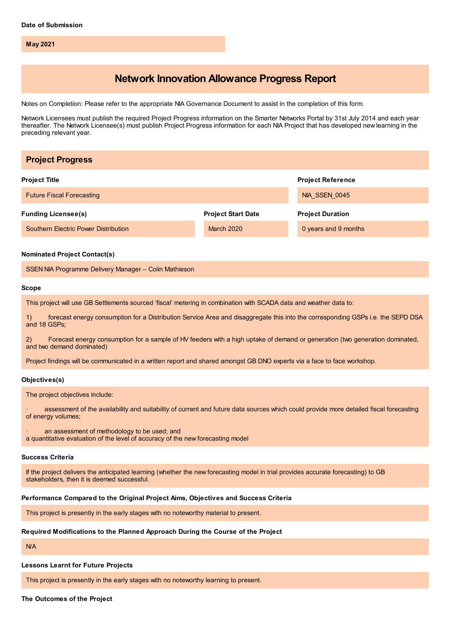**May 2021**

## **Network Innovation Allowance Progress Report**

Notes on Completion: Please refer to the appropriate NIA Governance Document to assist in the completion of this form.

Network Licensees must publish the required Project Progress information on the Smarter Networks Portal by 31st July 2014 and each year thereafter. The Network Licensee(s) must publish Project Progress information for each NIA Project that has developed new learning in the preceding relevant year.

| <b>Project Progress</b>                                                                                                                                                          |                           |                          |
|----------------------------------------------------------------------------------------------------------------------------------------------------------------------------------|---------------------------|--------------------------|
| <b>Project Title</b>                                                                                                                                                             |                           | <b>Project Reference</b> |
| <b>Future Fiscal Forecasting</b>                                                                                                                                                 |                           | NIA_SSEN_0045            |
| <b>Funding Licensee(s)</b>                                                                                                                                                       | <b>Project Start Date</b> | <b>Project Duration</b>  |
| Southern Electric Power Distribution                                                                                                                                             | March 2020                | 0 years and 9 months     |
| <b>Nominated Project Contact(s)</b>                                                                                                                                              |                           |                          |
| SSEN NIA Programme Delivery Manager - Colin Mathieson                                                                                                                            |                           |                          |
| <b>Scope</b>                                                                                                                                                                     |                           |                          |
| This project will use GB Settlements sourced 'fiscal' metering in combination with SCADA data and weather data to:                                                               |                           |                          |
| forecast energy consumption for a Distribution Service Area and disaggregate this into the corresponding GSPs i.e. the SEPD DSA<br>1)<br>and 18 GSPs:                            |                           |                          |
| Forecast energy consumption for a sample of HV feeders with a high uptake of demand or generation (two generation dominated,<br>2)<br>and two demand dominated)                  |                           |                          |
| Project findings will be communicated in a written report and shared amongst GB DNO experts via a face to face workshop.                                                         |                           |                          |
| Objectives(s)                                                                                                                                                                    |                           |                          |
| The project objectives include:                                                                                                                                                  |                           |                          |
| assessment of the availability and suitability of current and future data sources which could provide more detailed fiscal forecasting<br>of energy volumes;                     |                           |                          |
| an assessment of methodology to be used; and<br>a quantitative evaluation of the level of accuracy of the new forecasting model                                                  |                           |                          |
| <b>Success Criteria</b>                                                                                                                                                          |                           |                          |
| If the project delivers the anticipated learning (whether the new forecasting model in trial provides accurate forecasting) to GB<br>stakeholders, then it is deemed successful. |                           |                          |
| Performance Compared to the Original Project Aims, Objectives and Success Criteria                                                                                               |                           |                          |
| This project is presently in the early stages with no noteworthy material to present.                                                                                            |                           |                          |
| Required Modifications to the Planned Approach During the Course of the Project                                                                                                  |                           |                          |
| <b>N/A</b>                                                                                                                                                                       |                           |                          |
| <b>Lessons Learnt for Future Projects</b>                                                                                                                                        |                           |                          |

This project is presently in the early stages with no noteworthy learning to present.

**The Outcomes of the Project**